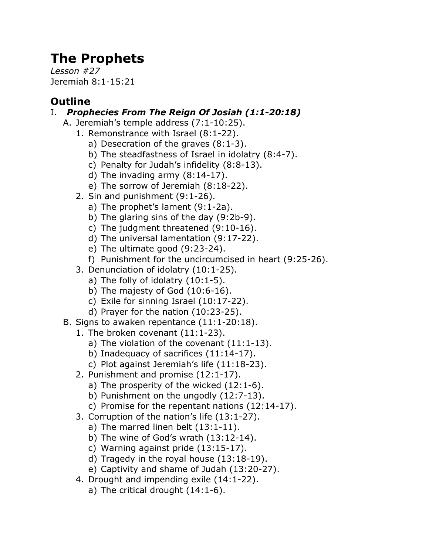# **The Prophets**

*Lesson #27* Jeremiah 8:1-15:21

## **Outline**

### I. *Prophecies From The Reign Of Josiah (1:1-20:18)*

- A. Jeremiah's temple address (7:1-10:25).
	- 1. Remonstrance with Israel (8:1-22).
		- a) Desecration of the graves (8:1-3).
		- b) The steadfastness of Israel in idolatry (8:4-7).
		- c) Penalty for Judah's infidelity (8:8-13).
		- d) The invading army (8:14-17).
		- e) The sorrow of Jeremiah (8:18-22).
	- 2. Sin and punishment (9:1-26).
		- a) The prophet's lament (9:1-2a).
		- b) The glaring sins of the day (9:2b-9).
		- c) The judgment threatened (9:10-16).
		- d) The universal lamentation (9:17-22).
		- e) The ultimate good (9:23-24).
		- f) Punishment for the uncircumcised in heart (9:25-26).
	- 3. Denunciation of idolatry (10:1-25).
		- a) The folly of idolatry  $(10:1-5)$ .
		- b) The majesty of God (10:6-16).
		- c) Exile for sinning Israel (10:17-22).
		- d) Prayer for the nation (10:23-25).
- B. Signs to awaken repentance (11:1-20:18).
	- 1. The broken covenant (11:1-23).
		- a) The violation of the covenant (11:1-13).
		- b) Inadequacy of sacrifices (11:14-17).
		- c) Plot against Jeremiah's life (11:18-23).
	- 2. Punishment and promise (12:1-17).
		- a) The prosperity of the wicked (12:1-6).
		- b) Punishment on the ungodly (12:7-13).
		- c) Promise for the repentant nations (12:14-17).
	- 3. Corruption of the nation's life (13:1-27).
		- a) The marred linen belt (13:1-11).
		- b) The wine of God's wrath (13:12-14).
		- c) Warning against pride (13:15-17).
		- d) Tragedy in the royal house (13:18-19).
		- e) Captivity and shame of Judah (13:20-27).
	- 4. Drought and impending exile (14:1-22).
		- a) The critical drought (14:1-6).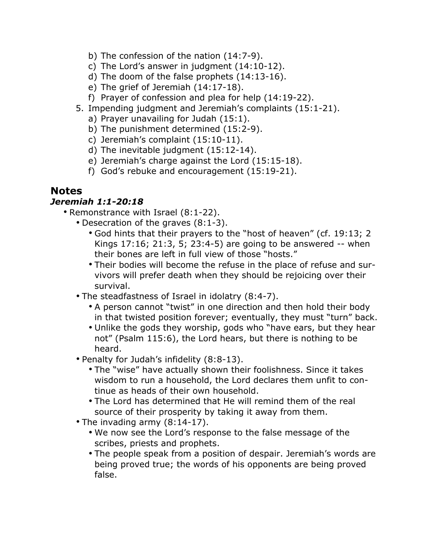- b) The confession of the nation (14:7-9).
- c) The Lord's answer in judgment  $(14:10-12)$ .
- d) The doom of the false prophets (14:13-16).
- e) The grief of Jeremiah (14:17-18).
- f) Prayer of confession and plea for help (14:19-22).
- 5. Impending judgment and Jeremiah's complaints (15:1-21).
	- a) Prayer unavailing for Judah (15:1).
	- b) The punishment determined (15:2-9).
	- c) Jeremiah's complaint (15:10-11).
	- d) The inevitable judgment (15:12-14).
	- e) Jeremiah's charge against the Lord (15:15-18).
	- f) God's rebuke and encouragement (15:19-21).

#### **Notes**

#### *Jeremiah 1:1-20:18*

- Remonstrance with Israel (8:1-22).
	- Desecration of the graves (8:1-3).
		- God hints that their prayers to the "host of heaven" (cf. 19:13; 2 Kings 17:16; 21:3, 5; 23:4-5) are going to be answered -- when their bones are left in full view of those "hosts."
		- Their bodies will become the refuse in the place of refuse and survivors will prefer death when they should be rejoicing over their survival.
	- The steadfastness of Israel in idolatry (8:4-7).
		- A person cannot "twist" in one direction and then hold their body in that twisted position forever; eventually, they must "turn" back.
		- Unlike the gods they worship, gods who "have ears, but they hear not" (Psalm 115:6), the Lord hears, but there is nothing to be heard.
	- Penalty for Judah's infidelity (8:8-13).
		- The "wise" have actually shown their foolishness. Since it takes wisdom to run a household, the Lord declares them unfit to continue as heads of their own household.
		- The Lord has determined that He will remind them of the real source of their prosperity by taking it away from them.
	- The invading army (8:14-17).
		- We now see the Lord's response to the false message of the scribes, priests and prophets.
		- The people speak from a position of despair. Jeremiah's words are being proved true; the words of his opponents are being proved false.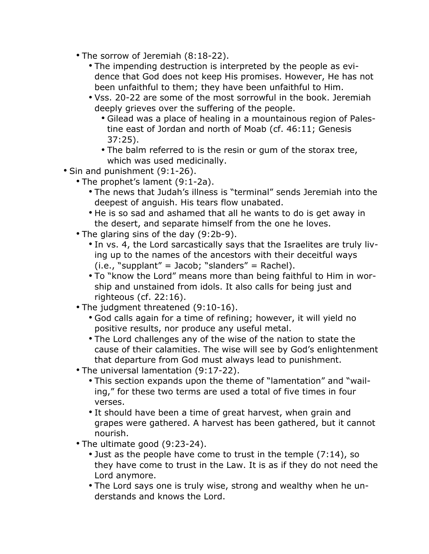- The sorrow of Jeremiah (8:18-22).
	- The impending destruction is interpreted by the people as evidence that God does not keep His promises. However, He has not been unfaithful to them; they have been unfaithful to Him.
	- Vss. 20-22 are some of the most sorrowful in the book. Jeremiah deeply grieves over the suffering of the people.
		- Gilead was a place of healing in a mountainous region of Palestine east of Jordan and north of Moab (cf. 46:11; Genesis 37:25).
		- The balm referred to is the resin or gum of the storax tree, which was used medicinally.
- Sin and punishment (9:1-26).
	- The prophet's lament (9:1-2a).
		- The news that Judah's illness is "terminal" sends Jeremiah into the deepest of anguish. His tears flow unabated.
		- He is so sad and ashamed that all he wants to do is get away in the desert, and separate himself from the one he loves.
	- The glaring sins of the day (9:2b-9).
		- In vs. 4, the Lord sarcastically says that the Israelites are truly living up to the names of the ancestors with their deceitful ways  $(i.e., "supplant" = Jacob; "slanders" = Rachel).$
		- To "know the Lord" means more than being faithful to Him in worship and unstained from idols. It also calls for being just and righteous (cf. 22:16).
	- The judgment threatened (9:10-16).
		- God calls again for a time of refining; however, it will yield no positive results, nor produce any useful metal.
		- The Lord challenges any of the wise of the nation to state the cause of their calamities. The wise will see by God's enlightenment that departure from God must always lead to punishment.
	- The universal lamentation (9:17-22).
		- This section expands upon the theme of "lamentation" and "wailing," for these two terms are used a total of five times in four verses.
		- It should have been a time of great harvest, when grain and grapes were gathered. A harvest has been gathered, but it cannot nourish.
	- The ultimate good (9:23-24).
		- Just as the people have come to trust in the temple (7:14), so they have come to trust in the Law. It is as if they do not need the Lord anymore.
		- The Lord says one is truly wise, strong and wealthy when he understands and knows the Lord.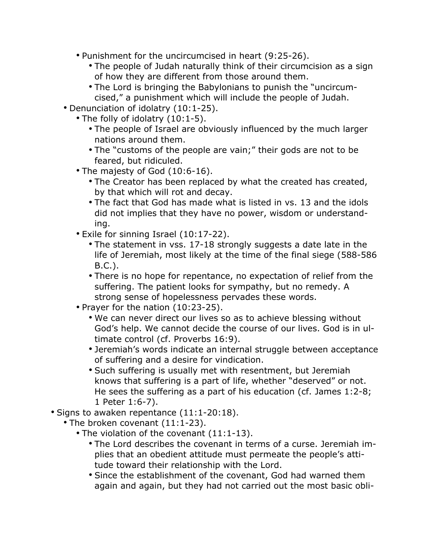- Punishment for the uncircumcised in heart (9:25-26).
	- The people of Judah naturally think of their circumcision as a sign of how they are different from those around them.
	- The Lord is bringing the Babylonians to punish the "uncircumcised," a punishment which will include the people of Judah.
- Denunciation of idolatry (10:1-25).
	- The folly of idolatry (10:1-5).
		- The people of Israel are obviously influenced by the much larger nations around them.
		- The "customs of the people are vain;" their gods are not to be feared, but ridiculed.
	- The majesty of God (10:6-16).
		- The Creator has been replaced by what the created has created, by that which will rot and decay.
		- The fact that God has made what is listed in vs. 13 and the idols did not implies that they have no power, wisdom or understanding.
	- Exile for sinning Israel (10:17-22).
		- The statement in vss. 17-18 strongly suggests a date late in the life of Jeremiah, most likely at the time of the final siege (588-586 B.C.).
		- There is no hope for repentance, no expectation of relief from the suffering. The patient looks for sympathy, but no remedy. A strong sense of hopelessness pervades these words.
	- Prayer for the nation (10:23-25).
		- We can never direct our lives so as to achieve blessing without God's help. We cannot decide the course of our lives. God is in ultimate control (cf. Proverbs 16:9).
		- Jeremiah's words indicate an internal struggle between acceptance of suffering and a desire for vindication.
		- Such suffering is usually met with resentment, but Jeremiah knows that suffering is a part of life, whether "deserved" or not. He sees the suffering as a part of his education (cf. James 1:2-8; 1 Peter 1:6-7).
- Signs to awaken repentance (11:1-20:18).
	- The broken covenant (11:1-23).
		- The violation of the covenant (11:1-13).
			- The Lord describes the covenant in terms of a curse. Jeremiah implies that an obedient attitude must permeate the people's attitude toward their relationship with the Lord.
			- Since the establishment of the covenant, God had warned them again and again, but they had not carried out the most basic obli-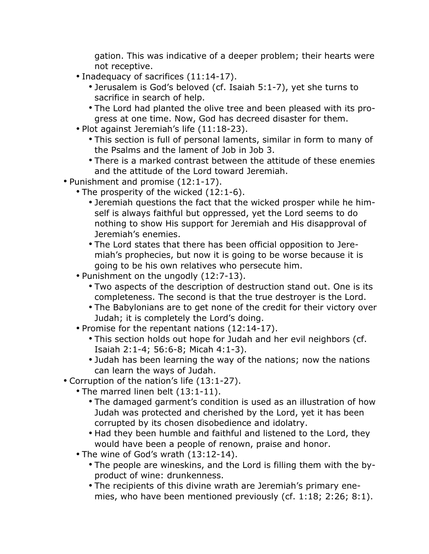gation. This was indicative of a deeper problem; their hearts were not receptive.

- Inadequacy of sacrifices (11:14-17).
	- Jerusalem is God's beloved (cf. Isaiah 5:1-7), yet she turns to sacrifice in search of help.
	- The Lord had planted the olive tree and been pleased with its progress at one time. Now, God has decreed disaster for them.
- Plot against Jeremiah's life (11:18-23).
	- This section is full of personal laments, similar in form to many of the Psalms and the lament of Job in Job 3.
	- There is a marked contrast between the attitude of these enemies and the attitude of the Lord toward Jeremiah.
- Punishment and promise (12:1-17).
	- The prosperity of the wicked (12:1-6).
		- Jeremiah questions the fact that the wicked prosper while he himself is always faithful but oppressed, yet the Lord seems to do nothing to show His support for Jeremiah and His disapproval of Jeremiah's enemies.
		- The Lord states that there has been official opposition to Jeremiah's prophecies, but now it is going to be worse because it is going to be his own relatives who persecute him.
	- Punishment on the ungodly (12:7-13).
		- Two aspects of the description of destruction stand out. One is its completeness. The second is that the true destroyer is the Lord.
		- The Babylonians are to get none of the credit for their victory over Judah; it is completely the Lord's doing.
	- Promise for the repentant nations (12:14-17).
		- This section holds out hope for Judah and her evil neighbors (cf. Isaiah 2:1-4; 56:6-8; Micah 4:1-3).
		- Judah has been learning the way of the nations; now the nations can learn the ways of Judah.
- Corruption of the nation's life (13:1-27).
	- The marred linen belt (13:1-11).
		- The damaged garment's condition is used as an illustration of how Judah was protected and cherished by the Lord, yet it has been corrupted by its chosen disobedience and idolatry.
		- Had they been humble and faithful and listened to the Lord, they would have been a people of renown, praise and honor.
	- The wine of God's wrath (13:12-14).
		- The people are wineskins, and the Lord is filling them with the byproduct of wine: drunkenness.
		- The recipients of this divine wrath are Jeremiah's primary enemies, who have been mentioned previously (cf. 1:18; 2:26; 8:1).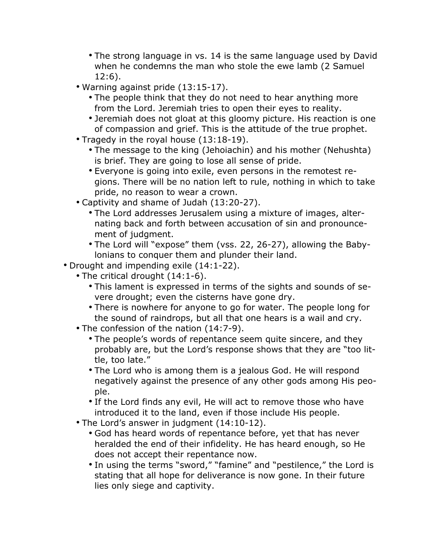- The strong language in vs. 14 is the same language used by David when he condemns the man who stole the ewe lamb (2 Samuel 12:6).
- Warning against pride (13:15-17).
	- The people think that they do not need to hear anything more from the Lord. Jeremiah tries to open their eyes to reality.
	- Jeremiah does not gloat at this gloomy picture. His reaction is one of compassion and grief. This is the attitude of the true prophet.
- Tragedy in the royal house (13:18-19).
	- The message to the king (Jehoiachin) and his mother (Nehushta) is brief. They are going to lose all sense of pride.
	- Everyone is going into exile, even persons in the remotest regions. There will be no nation left to rule, nothing in which to take pride, no reason to wear a crown.
- Captivity and shame of Judah (13:20-27).
	- The Lord addresses Jerusalem using a mixture of images, alternating back and forth between accusation of sin and pronouncement of judgment.
	- The Lord will "expose" them (vss. 22, 26-27), allowing the Babylonians to conquer them and plunder their land.
- Drought and impending exile (14:1-22).
	- The critical drought (14:1-6).
		- This lament is expressed in terms of the sights and sounds of severe drought; even the cisterns have gone dry.
		- There is nowhere for anyone to go for water. The people long for the sound of raindrops, but all that one hears is a wail and cry.
	- The confession of the nation (14:7-9).
		- The people's words of repentance seem quite sincere, and they probably are, but the Lord's response shows that they are "too little, too late."
		- The Lord who is among them is a jealous God. He will respond negatively against the presence of any other gods among His people.
		- If the Lord finds any evil, He will act to remove those who have introduced it to the land, even if those include His people.
	- The Lord's answer in judgment (14:10-12).
		- God has heard words of repentance before, yet that has never heralded the end of their infidelity. He has heard enough, so He does not accept their repentance now.
		- In using the terms "sword," "famine" and "pestilence," the Lord is stating that all hope for deliverance is now gone. In their future lies only siege and captivity.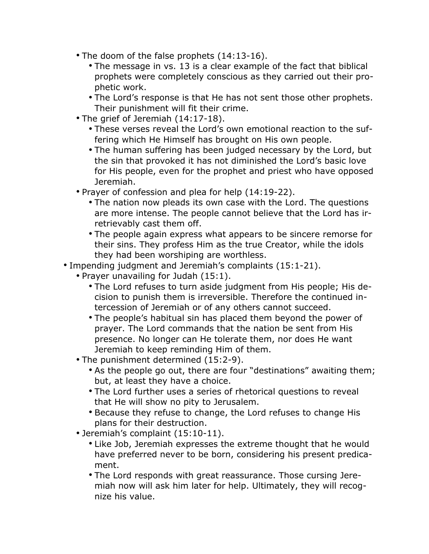- The doom of the false prophets (14:13-16).
	- The message in vs. 13 is a clear example of the fact that biblical prophets were completely conscious as they carried out their prophetic work.
	- The Lord's response is that He has not sent those other prophets. Their punishment will fit their crime.
- The grief of Jeremiah (14:17-18).
	- These verses reveal the Lord's own emotional reaction to the suffering which He Himself has brought on His own people.
	- The human suffering has been judged necessary by the Lord, but the sin that provoked it has not diminished the Lord's basic love for His people, even for the prophet and priest who have opposed Jeremiah.
- Prayer of confession and plea for help (14:19-22).
	- The nation now pleads its own case with the Lord. The questions are more intense. The people cannot believe that the Lord has irretrievably cast them off.
	- The people again express what appears to be sincere remorse for their sins. They profess Him as the true Creator, while the idols they had been worshiping are worthless.
- Impending judgment and Jeremiah's complaints (15:1-21).
	- Prayer unavailing for Judah (15:1).
		- The Lord refuses to turn aside judgment from His people; His decision to punish them is irreversible. Therefore the continued intercession of Jeremiah or of any others cannot succeed.
		- The people's habitual sin has placed them beyond the power of prayer. The Lord commands that the nation be sent from His presence. No longer can He tolerate them, nor does He want Jeremiah to keep reminding Him of them.
	- The punishment determined (15:2-9).
		- As the people go out, there are four "destinations" awaiting them; but, at least they have a choice.
		- The Lord further uses a series of rhetorical questions to reveal that He will show no pity to Jerusalem.
		- Because they refuse to change, the Lord refuses to change His plans for their destruction.
	- Jeremiah's complaint (15:10-11).
		- Like Job, Jeremiah expresses the extreme thought that he would have preferred never to be born, considering his present predicament.
		- The Lord responds with great reassurance. Those cursing Jeremiah now will ask him later for help. Ultimately, they will recognize his value.